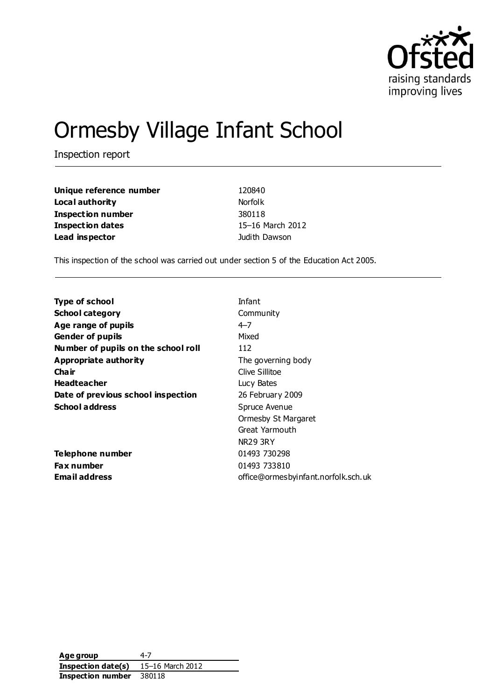

# Ormesby Village Infant School

Inspection report

| Unique reference number | 120840           |
|-------------------------|------------------|
| Local authority         | <b>Norfolk</b>   |
| Inspection number       | 380118           |
| <b>Inspection dates</b> | 15-16 March 2012 |
| Lead inspector          | Judith Dawson    |

This inspection of the school was carried out under section 5 of the Education Act 2005.

| <b>Type of school</b>               | Infant                              |
|-------------------------------------|-------------------------------------|
| <b>School category</b>              | Community                           |
| Age range of pupils                 | $4 - 7$                             |
| <b>Gender of pupils</b>             | Mixed                               |
| Number of pupils on the school roll | 112                                 |
| Appropriate authority               | The governing body                  |
| Cha ir                              | Clive Sillitoe                      |
| <b>Headteacher</b>                  | Lucy Bates                          |
| Date of previous school inspection  | 26 February 2009                    |
| <b>School address</b>               | Spruce Avenue                       |
|                                     | <b>Ormesby St Margaret</b>          |
|                                     | Great Yarmouth                      |
|                                     | NR29 3RY                            |
| <b>Telephone number</b>             | 01493 730298                        |
| <b>Fax number</b>                   | 01493 733810                        |
| Email address                       | office@ormesbyinfant.norfolk.sch.uk |

**Age group** 4-7 **Inspection date(s)** 15–16 March 2012 **Inspection number** 380118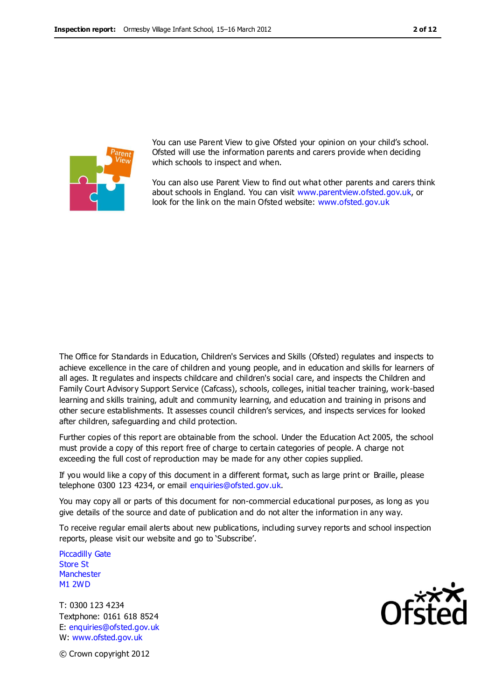

You can use Parent View to give Ofsted your opinion on your child's school. Ofsted will use the information parents and carers provide when deciding which schools to inspect and when.

You can also use Parent View to find out what other parents and carers think about schools in England. You can visit [www.parentview.ofsted.gov.uk,](http://www.parentview.ofsted.gov.uk/) or look for the link on the main Ofsted website: [www.ofsted.gov.uk](http://www.ofsted.gov.uk/)

The Office for Standards in Education, Children's Services and Skills (Ofsted) regulates and inspects to achieve excellence in the care of children and young people, and in education and skills for learners of all ages. It regulates and inspects childcare and children's social care, and inspects the Children and Family Court Advisory Support Service (Cafcass), schools, colleges, initial teacher training, work-based learning and skills training, adult and community learning, and education and training in prisons and other secure establishments. It assesses council children's services, and inspects services for looked after children, safeguarding and child protection.

Further copies of this report are obtainable from the school. Under the Education Act 2005, the school must provide a copy of this report free of charge to certain categories of people. A charge not exceeding the full cost of reproduction may be made for any other copies supplied.

If you would like a copy of this document in a different format, such as large print or Braille, please telephone 0300 123 4234, or email enquiries@ofsted.gov.uk.

You may copy all or parts of this document for non-commercial educational purposes, as long as you give details of the source and date of publication and do not alter the information in any way.

To receive regular email alerts about new publications, including survey reports and school inspection reports, please visit our website and go to 'Subscribe'.

Piccadilly Gate Store St **Manchester** M1 2WD

T: 0300 123 4234 Textphone: 0161 618 8524 E: enquiries@ofsted.gov.uk W: www.ofsted.gov.uk



© Crown copyright 2012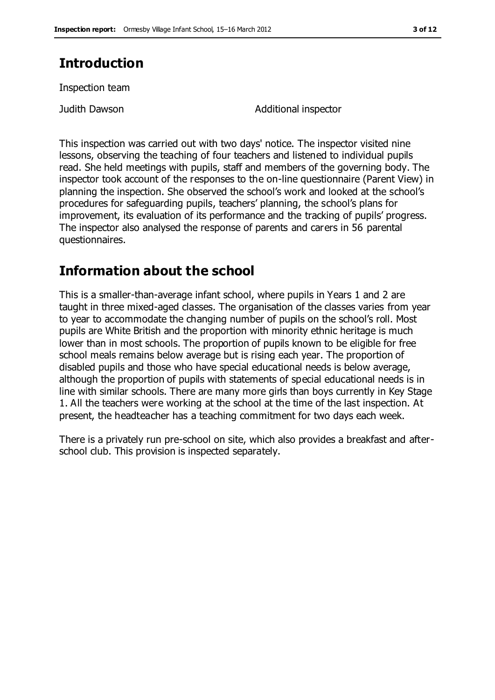### **Introduction**

Inspection team

Judith Dawson Additional inspector

This inspection was carried out with two days' notice. The inspector visited nine lessons, observing the teaching of four teachers and listened to individual pupils read. She held meetings with pupils, staff and members of the governing body. The inspector took account of the responses to the on-line questionnaire (Parent View) in planning the inspection. She observed the school's work and looked at the school's procedures for safeguarding pupils, teachers' planning, the school's plans for improvement, its evaluation of its performance and the tracking of pupils' progress. The inspector also analysed the response of parents and carers in 56 parental questionnaires.

### **Information about the school**

This is a smaller-than-average infant school, where pupils in Years 1 and 2 are taught in three mixed-aged classes. The organisation of the classes varies from year to year to accommodate the changing number of pupils on the school's roll. Most pupils are White British and the proportion with minority ethnic heritage is much lower than in most schools. The proportion of pupils known to be eligible for free school meals remains below average but is rising each year. The proportion of disabled pupils and those who have special educational needs is below average, although the proportion of pupils with statements of special educational needs is in line with similar schools. There are many more girls than boys currently in Key Stage 1. All the teachers were working at the school at the time of the last inspection. At present, the headteacher has a teaching commitment for two days each week.

There is a privately run pre-school on site, which also provides a breakfast and afterschool club. This provision is inspected separately.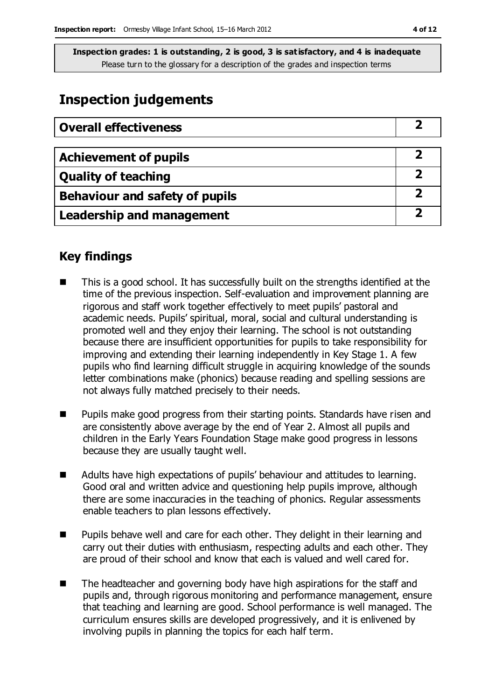### **Inspection judgements**

| <b>Overall effectiveness</b>          |  |
|---------------------------------------|--|
|                                       |  |
| <b>Achievement of pupils</b>          |  |
| <b>Quality of teaching</b>            |  |
| <b>Behaviour and safety of pupils</b> |  |
| <b>Leadership and management</b>      |  |

### **Key findings**

- This is a good school. It has successfully built on the strengths identified at the time of the previous inspection. Self-evaluation and improvement planning are rigorous and staff work together effectively to meet pupils' pastoral and academic needs. Pupils' spiritual, moral, social and cultural understanding is promoted well and they enjoy their learning. The school is not outstanding because there are insufficient opportunities for pupils to take responsibility for improving and extending their learning independently in Key Stage 1. A few pupils who find learning difficult struggle in acquiring knowledge of the sounds letter combinations make (phonics) because reading and spelling sessions are not always fully matched precisely to their needs.
- **Pupils make good progress from their starting points. Standards have risen and Pupils** are consistently above average by the end of Year 2. Almost all pupils and children in the Early Years Foundation Stage make good progress in lessons because they are usually taught well.
- Adults have high expectations of pupils' behaviour and attitudes to learning. Good oral and written advice and questioning help pupils improve, although there are some inaccuracies in the teaching of phonics. Regular assessments enable teachers to plan lessons effectively.
- Pupils behave well and care for each other. They delight in their learning and carry out their duties with enthusiasm, respecting adults and each other. They are proud of their school and know that each is valued and well cared for.
- The headteacher and governing body have high aspirations for the staff and pupils and, through rigorous monitoring and performance management, ensure that teaching and learning are good. School performance is well managed. The curriculum ensures skills are developed progressively, and it is enlivened by involving pupils in planning the topics for each half term.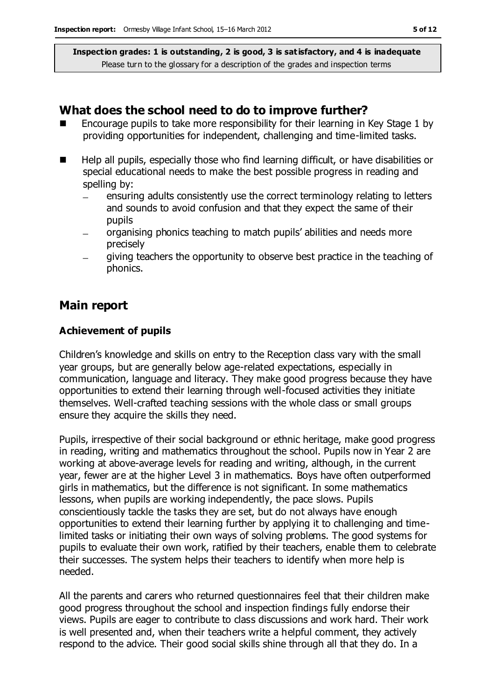#### **What does the school need to do to improve further?**

- Encourage pupils to take more responsibility for their learning in Key Stage 1 by providing opportunities for independent, challenging and time-limited tasks.
- Help all pupils, especially those who find learning difficult, or have disabilities or special educational needs to make the best possible progress in reading and spelling by:
	- ensuring adults consistently use the correct terminology relating to letters and sounds to avoid confusion and that they expect the same of their pupils
	- organising phonics teaching to match pupils' abilities and needs more precisely
	- giving teachers the opportunity to observe best practice in the teaching of phonics.

### **Main report**

#### **Achievement of pupils**

Children's knowledge and skills on entry to the Reception class vary with the small year groups, but are generally below age-related expectations, especially in communication, language and literacy. They make good progress because they have opportunities to extend their learning through well-focused activities they initiate themselves. Well-crafted teaching sessions with the whole class or small groups ensure they acquire the skills they need.

Pupils, irrespective of their social background or ethnic heritage, make good progress in reading, writing and mathematics throughout the school. Pupils now in Year 2 are working at above-average levels for reading and writing, although, in the current year, fewer are at the higher Level 3 in mathematics. Boys have often outperformed girls in mathematics, but the difference is not significant. In some mathematics lessons, when pupils are working independently, the pace slows. Pupils conscientiously tackle the tasks they are set, but do not always have enough opportunities to extend their learning further by applying it to challenging and timelimited tasks or initiating their own ways of solving problems. The good systems for pupils to evaluate their own work, ratified by their teachers, enable them to celebrate their successes. The system helps their teachers to identify when more help is needed.

All the parents and carers who returned questionnaires feel that their children make good progress throughout the school and inspection findings fully endorse their views. Pupils are eager to contribute to class discussions and work hard. Their work is well presented and, when their teachers write a helpful comment, they actively respond to the advice. Their good social skills shine through all that they do. In a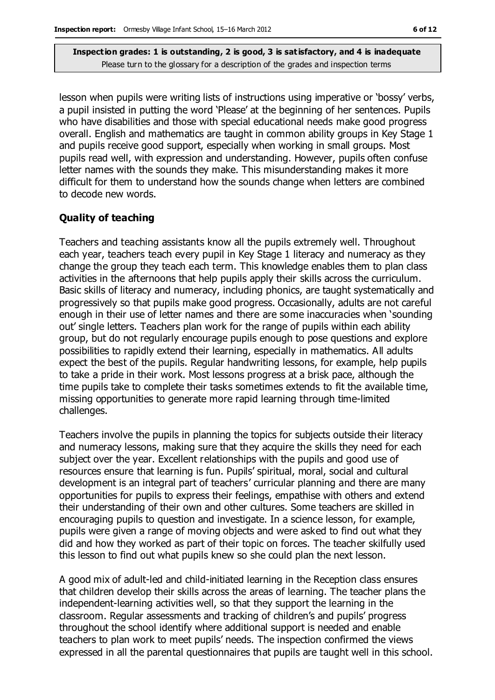lesson when pupils were writing lists of instructions using imperative or 'bossy' verbs, a pupil insisted in putting the word 'Please' at the beginning of her sentences. Pupils who have disabilities and those with special educational needs make good progress overall. English and mathematics are taught in common ability groups in Key Stage 1 and pupils receive good support, especially when working in small groups. Most pupils read well, with expression and understanding. However, pupils often confuse letter names with the sounds they make. This misunderstanding makes it more difficult for them to understand how the sounds change when letters are combined to decode new words.

#### **Quality of teaching**

Teachers and teaching assistants know all the pupils extremely well. Throughout each year, teachers teach every pupil in Key Stage 1 literacy and numeracy as they change the group they teach each term. This knowledge enables them to plan class activities in the afternoons that help pupils apply their skills across the curriculum. Basic skills of literacy and numeracy, including phonics, are taught systematically and progressively so that pupils make good progress. Occasionally, adults are not careful enough in their use of letter names and there are some inaccuracies when 'sounding out' single letters. Teachers plan work for the range of pupils within each ability group, but do not regularly encourage pupils enough to pose questions and explore possibilities to rapidly extend their learning, especially in mathematics. All adults expect the best of the pupils. Regular handwriting lessons, for example, help pupils to take a pride in their work. Most lessons progress at a brisk pace, although the time pupils take to complete their tasks sometimes extends to fit the available time, missing opportunities to generate more rapid learning through time-limited challenges.

Teachers involve the pupils in planning the topics for subjects outside their literacy and numeracy lessons, making sure that they acquire the skills they need for each subject over the year. Excellent relationships with the pupils and good use of resources ensure that learning is fun. Pupils' spiritual, moral, social and cultural development is an integral part of teachers' curricular planning and there are many opportunities for pupils to express their feelings, empathise with others and extend their understanding of their own and other cultures. Some teachers are skilled in encouraging pupils to question and investigate. In a science lesson, for example, pupils were given a range of moving objects and were asked to find out what they did and how they worked as part of their topic on forces. The teacher skilfully used this lesson to find out what pupils knew so she could plan the next lesson.

A good mix of adult-led and child-initiated learning in the Reception class ensures that children develop their skills across the areas of learning. The teacher plans the independent-learning activities well, so that they support the learning in the classroom. Regular assessments and tracking of children's and pupils' progress throughout the school identify where additional support is needed and enable teachers to plan work to meet pupils' needs. The inspection confirmed the views expressed in all the parental questionnaires that pupils are taught well in this school.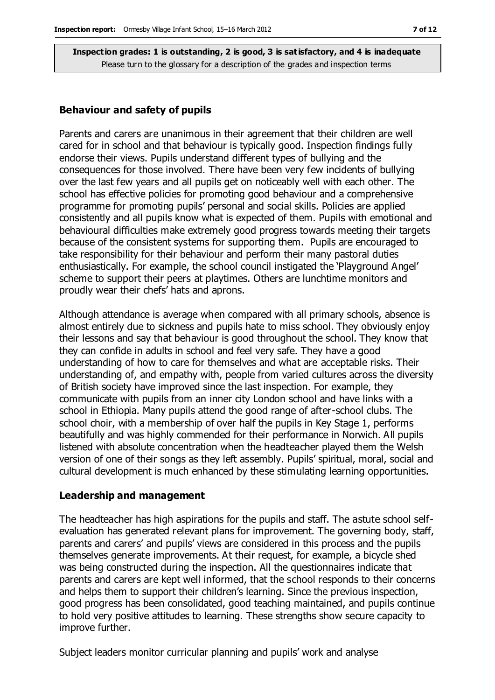#### **Behaviour and safety of pupils**

Parents and carers are unanimous in their agreement that their children are well cared for in school and that behaviour is typically good. Inspection findings fully endorse their views. Pupils understand different types of bullying and the consequences for those involved. There have been very few incidents of bullying over the last few years and all pupils get on noticeably well with each other. The school has effective policies for promoting good behaviour and a comprehensive programme for promoting pupils' personal and social skills. Policies are applied consistently and all pupils know what is expected of them. Pupils with emotional and behavioural difficulties make extremely good progress towards meeting their targets because of the consistent systems for supporting them. Pupils are encouraged to take responsibility for their behaviour and perform their many pastoral duties enthusiastically. For example, the school council instigated the 'Playground Angel' scheme to support their peers at playtimes. Others are lunchtime monitors and proudly wear their chefs' hats and aprons.

Although attendance is average when compared with all primary schools, absence is almost entirely due to sickness and pupils hate to miss school. They obviously enjoy their lessons and say that behaviour is good throughout the school. They know that they can confide in adults in school and feel very safe. They have a good understanding of how to care for themselves and what are acceptable risks. Their understanding of, and empathy with, people from varied cultures across the diversity of British society have improved since the last inspection. For example, they communicate with pupils from an inner city London school and have links with a school in Ethiopia. Many pupils attend the good range of after-school clubs. The school choir, with a membership of over half the pupils in Key Stage 1, performs beautifully and was highly commended for their performance in Norwich. All pupils listened with absolute concentration when the headteacher played them the Welsh version of one of their songs as they left assembly. Pupils' spiritual, moral, social and cultural development is much enhanced by these stimulating learning opportunities.

#### **Leadership and management**

The headteacher has high aspirations for the pupils and staff. The astute school selfevaluation has generated relevant plans for improvement. The governing body, staff, parents and carers' and pupils' views are considered in this process and the pupils themselves generate improvements. At their request, for example, a bicycle shed was being constructed during the inspection. All the questionnaires indicate that parents and carers are kept well informed, that the school responds to their concerns and helps them to support their children's learning. Since the previous inspection, good progress has been consolidated, good teaching maintained, and pupils continue to hold very positive attitudes to learning. These strengths show secure capacity to improve further.

Subject leaders monitor curricular planning and pupils' work and analyse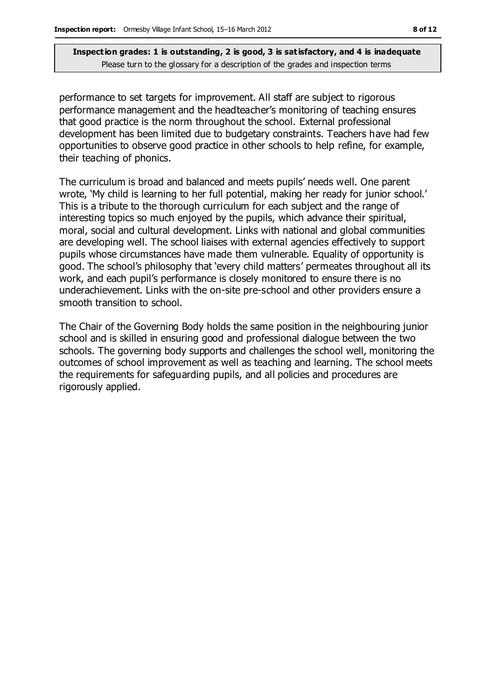performance to set targets for improvement. All staff are subject to rigorous performance management and the headteacher's monitoring of teaching ensures that good practice is the norm throughout the school. External professional development has been limited due to budgetary constraints. Teachers have had few opportunities to observe good practice in other schools to help refine, for example, their teaching of phonics.

The curriculum is broad and balanced and meets pupils' needs well. One parent wrote, 'My child is learning to her full potential, making her ready for junior school.' This is a tribute to the thorough curriculum for each subject and the range of interesting topics so much enjoyed by the pupils, which advance their spiritual, moral, social and cultural development. Links with national and global communities are developing well. The school liaises with external agencies effectively to support pupils whose circumstances have made them vulnerable. Equality of opportunity is good. The school's philosophy that 'every child matters' permeates throughout all its work, and each pupil's performance is closely monitored to ensure there is no underachievement. Links with the on-site pre-school and other providers ensure a smooth transition to school.

The Chair of the Governing Body holds the same position in the neighbouring junior school and is skilled in ensuring good and professional dialogue between the two schools. The governing body supports and challenges the school well, monitoring the outcomes of school improvement as well as teaching and learning. The school meets the requirements for safeguarding pupils, and all policies and procedures are rigorously applied.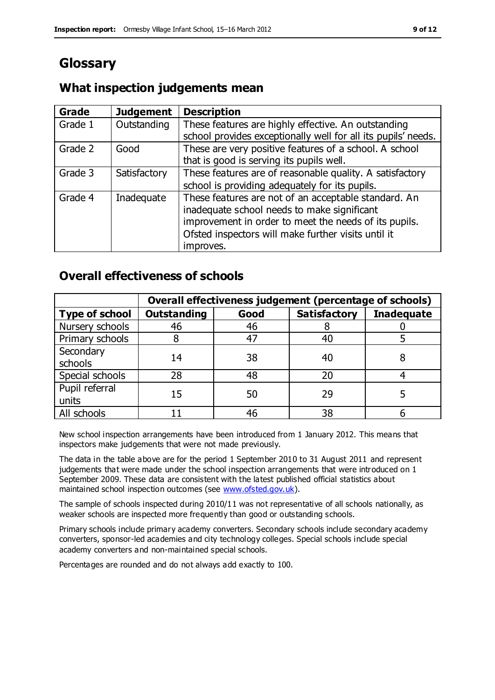## **Glossary**

### **What inspection judgements mean**

| Grade   | <b>Judgement</b> | <b>Description</b>                                            |
|---------|------------------|---------------------------------------------------------------|
| Grade 1 | Outstanding      | These features are highly effective. An outstanding           |
|         |                  | school provides exceptionally well for all its pupils' needs. |
| Grade 2 | Good             | These are very positive features of a school. A school        |
|         |                  | that is good is serving its pupils well.                      |
| Grade 3 | Satisfactory     | These features are of reasonable quality. A satisfactory      |
|         |                  | school is providing adequately for its pupils.                |
| Grade 4 | Inadequate       | These features are not of an acceptable standard. An          |
|         |                  | inadequate school needs to make significant                   |
|         |                  | improvement in order to meet the needs of its pupils.         |
|         |                  | Ofsted inspectors will make further visits until it           |
|         |                  | improves.                                                     |

### **Overall effectiveness of schools**

|                         | Overall effectiveness judgement (percentage of schools) |      |                     |                   |
|-------------------------|---------------------------------------------------------|------|---------------------|-------------------|
| <b>Type of school</b>   | <b>Outstanding</b>                                      | Good | <b>Satisfactory</b> | <b>Inadequate</b> |
| Nursery schools         | 46                                                      | 46   |                     |                   |
| Primary schools         |                                                         | 47   | 40                  |                   |
| Secondary<br>schools    | 14                                                      | 38   | 40                  |                   |
| Special schools         | 28                                                      | 48   | 20                  |                   |
| Pupil referral<br>units | 15                                                      | 50   | 29                  |                   |
| All schools             |                                                         | 46   | 38                  |                   |

New school inspection arrangements have been introduced from 1 January 2012. This means that inspectors make judgements that were not made previously.

The data in the table above are for the period 1 September 2010 to 31 August 2011 and represent judgements that were made under the school inspection arrangements that were introduced on 1 September 2009. These data are consistent with the latest published official statistics about maintained school inspection outcomes (see [www.ofsted.gov.uk\)](http://www.ofsted.gov.uk/).

The sample of schools inspected during 2010/11 was not representative of all schools nationally, as weaker schools are inspected more frequently than good or outstanding schools.

Primary schools include primary academy converters. Secondary schools include secondary academy converters, sponsor-led academies and city technology colleges. Special schools include special academy converters and non-maintained special schools.

Percentages are rounded and do not always add exactly to 100.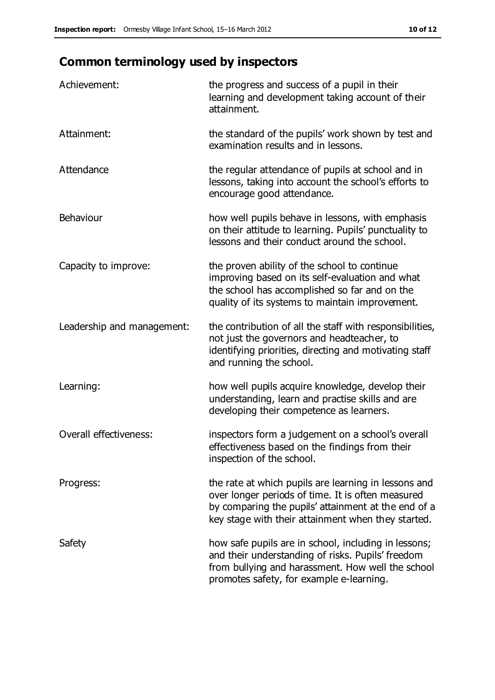## **Common terminology used by inspectors**

| Achievement:                  | the progress and success of a pupil in their<br>learning and development taking account of their<br>attainment.                                                                                                        |
|-------------------------------|------------------------------------------------------------------------------------------------------------------------------------------------------------------------------------------------------------------------|
| Attainment:                   | the standard of the pupils' work shown by test and<br>examination results and in lessons.                                                                                                                              |
| Attendance                    | the regular attendance of pupils at school and in<br>lessons, taking into account the school's efforts to<br>encourage good attendance.                                                                                |
| Behaviour                     | how well pupils behave in lessons, with emphasis<br>on their attitude to learning. Pupils' punctuality to<br>lessons and their conduct around the school.                                                              |
| Capacity to improve:          | the proven ability of the school to continue<br>improving based on its self-evaluation and what<br>the school has accomplished so far and on the<br>quality of its systems to maintain improvement.                    |
| Leadership and management:    | the contribution of all the staff with responsibilities,<br>not just the governors and headteacher, to<br>identifying priorities, directing and motivating staff<br>and running the school.                            |
| Learning:                     | how well pupils acquire knowledge, develop their<br>understanding, learn and practise skills and are<br>developing their competence as learners.                                                                       |
| <b>Overall effectiveness:</b> | inspectors form a judgement on a school's overall<br>effectiveness based on the findings from their<br>inspection of the school.                                                                                       |
| Progress:                     | the rate at which pupils are learning in lessons and<br>over longer periods of time. It is often measured<br>by comparing the pupils' attainment at the end of a<br>key stage with their attainment when they started. |
| Safety                        | how safe pupils are in school, including in lessons;<br>and their understanding of risks. Pupils' freedom<br>from bullying and harassment. How well the school<br>promotes safety, for example e-learning.             |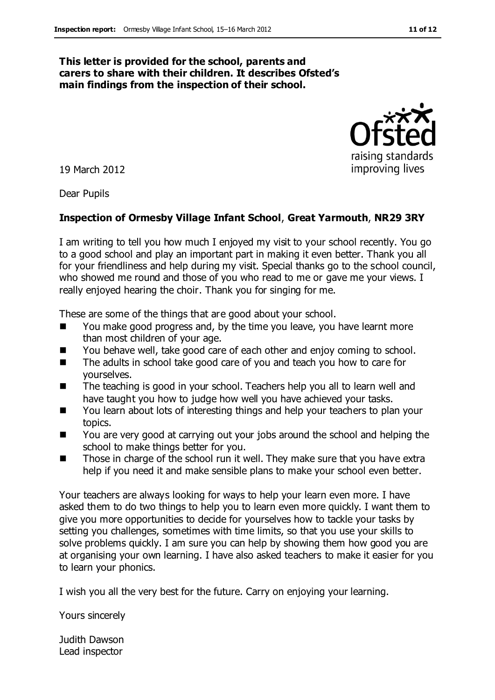#### **This letter is provided for the school, parents and carers to share with their children. It describes Ofsted's main findings from the inspection of their school.**

19 March 2012

Dear Pupils

#### **Inspection of Ormesby Village Infant School**, **Great Yarmouth**, **NR29 3RY**

I am writing to tell you how much I enjoyed my visit to your school recently. You go to a good school and play an important part in making it even better. Thank you all for your friendliness and help during my visit. Special thanks go to the school council, who showed me round and those of you who read to me or gave me your views. I really enjoyed hearing the choir. Thank you for singing for me.

These are some of the things that are good about your school.

- You make good progress and, by the time you leave, you have learnt more than most children of your age.
- You behave well, take good care of each other and enjoy coming to school.
- The adults in school take good care of you and teach you how to care for yourselves.
- The teaching is good in your school. Teachers help you all to learn well and have taught you how to judge how well you have achieved your tasks.
- You learn about lots of interesting things and help your teachers to plan your topics.
- You are very good at carrying out your jobs around the school and helping the school to make things better for you.
- Those in charge of the school run it well. They make sure that you have extra help if you need it and make sensible plans to make your school even better.

Your teachers are always looking for ways to help your learn even more. I have asked them to do two things to help you to learn even more quickly. I want them to give you more opportunities to decide for yourselves how to tackle your tasks by setting you challenges, sometimes with time limits, so that you use your skills to solve problems quickly. I am sure you can help by showing them how good you are at organising your own learning. I have also asked teachers to make it easier for you to learn your phonics.

I wish you all the very best for the future. Carry on enjoying your learning.

Yours sincerely

Judith Dawson Lead inspector